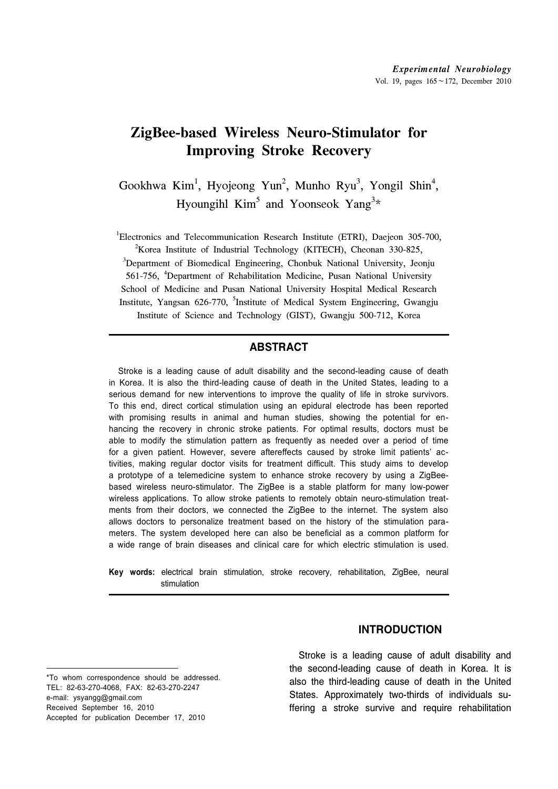# **ZigBee-based Wireless Neuro-Stimulator for Improving Stroke Recovery**

Gookhwa Kim<sup>1</sup>, Hyojeong Yun<sup>2</sup>, Munho Ryu<sup>3</sup>, Yongil Shin<sup>4</sup>, Hyoungihl  $Kim<sup>5</sup>$  and Yoonseok Yang<sup>3\*</sup>

<sup>1</sup>Electronics and Telecommunication Research Institute (ETRI), Daejeon 305-700, <sup>2</sup>*V* organization of Industrial Technology (*VITECH*), Cheonen 320, 825

<sup>2</sup>Korea Institute of Industrial Technology (KITECH), Cheonan 330-825,

 $3$ Department of Biomedical Engineering, Chonbuk National University, Jeonju 561-756, <sup>4</sup>Department of Rehabilitation Medicine, Pusan National University School of Medicine and Pusan National University Hospital Medical Research Institute, Yangsan 626-770, <sup>5</sup>Institute of Medical System Engineering, Gwangju Institute of Science and Technology (GIST), Gwangju 500-712, Korea

### **ABSTRACT**

Stroke is a leading cause of adult disability and the second-leading cause of death in Korea. It is also the third-leading cause of death in the United States, leading to a serious demand for new interventions to improve the quality of life in stroke survivors. To this end, direct cortical stimulation using an epidural electrode has been reported with promising results in animal and human studies, showing the potential for enhancing the recovery in chronic stroke patients. For optimal results, doctors must be able to modify the stimulation pattern as frequently as needed over a period of time for a given patient. However, severe aftereffects caused by stroke limit patients' activities, making regular doctor visits for treatment difficult. This study aims to develop a prototype of a telemedicine system to enhance stroke recovery by using a ZigBeebased wireless neuro-stimulator. The ZigBee is a stable platform for many low-power wireless applications. To allow stroke patients to remotely obtain neuro-stimulation treatments from their doctors, we connected the ZigBee to the internet. The system also allows doctors to personalize treatment based on the history of the stimulation parameters. The system developed here can also be beneficial as a common platform for a wide range of brain diseases and clinical care for which electric stimulation is used.

**Key words:** electrical brain stimulation, stroke recovery, rehabilitation, ZigBee, neural stimulation

\*To whom correspondence should be addressed. TEL: 82-63-270-4068, FAX: 82-63-270-2247 e-mail: ysyangg@gmail.com Received September 16, 2010 Accepted for publication December 17, 2010

# **INTRODUCTION**

 Stroke is a leading cause of adult disability and the second-leading cause of death in Korea. It is also the third-leading cause of death in the United States. Approximately two-thirds of individuals suffering a stroke survive and require rehabilitation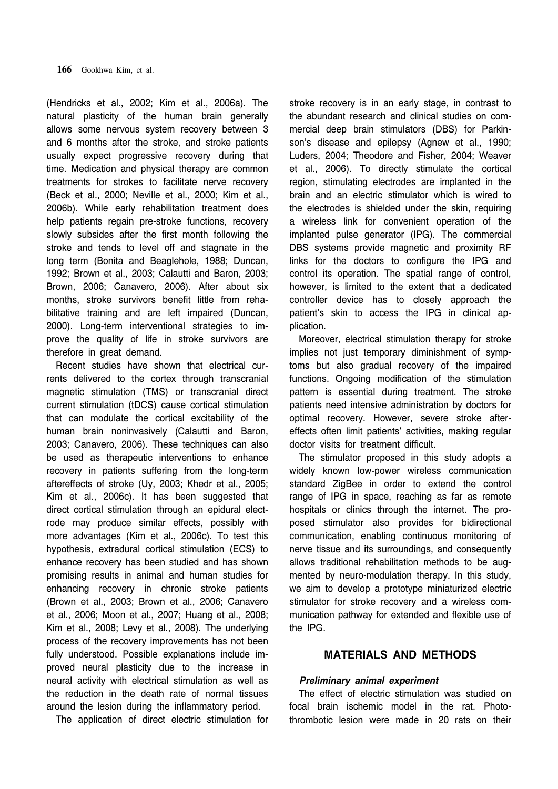(Hendricks et al., 2002; Kim et al., 2006a). The natural plasticity of the human brain generally allows some nervous system recovery between 3 and 6 months after the stroke, and stroke patients usually expect progressive recovery during that time. Medication and physical therapy are common treatments for strokes to facilitate nerve recovery (Beck et al., 2000; Neville et al., 2000; Kim et al., 2006b). While early rehabilitation treatment does help patients regain pre-stroke functions, recovery slowly subsides after the first month following the stroke and tends to level off and stagnate in the long term (Bonita and Beaglehole, 1988; Duncan, 1992; Brown et al., 2003; Calautti and Baron, 2003; Brown, 2006; Canavero, 2006). After about six months, stroke survivors benefit little from rehabilitative training and are left impaired (Duncan, 2000). Long-term interventional strategies to improve the quality of life in stroke survivors are therefore in great demand.

 Recent studies have shown that electrical currents delivered to the cortex through transcranial magnetic stimulation (TMS) or transcranial direct current stimulation (tDCS) cause cortical stimulation that can modulate the cortical excitability of the human brain noninvasively (Calautti and Baron, 2003; Canavero, 2006). These techniques can also be used as therapeutic interventions to enhance recovery in patients suffering from the long-term aftereffects of stroke (Uy, 2003; Khedr et al., 2005; Kim et al., 2006c). It has been suggested that direct cortical stimulation through an epidural electrode may produce similar effects, possibly with more advantages (Kim et al., 2006c). To test this hypothesis, extradural cortical stimulation (ECS) to enhance recovery has been studied and has shown promising results in animal and human studies for enhancing recovery in chronic stroke patients (Brown et al., 2003; Brown et al., 2006; Canavero et al., 2006; Moon et al., 2007; Huang et al., 2008; Kim et al., 2008; Levy et al., 2008). The underlying process of the recovery improvements has not been fully understood. Possible explanations include improved neural plasticity due to the increase in neural activity with electrical stimulation as well as the reduction in the death rate of normal tissues around the lesion during the inflammatory period.

The application of direct electric stimulation for

stroke recovery is in an early stage, in contrast to the abundant research and clinical studies on commercial deep brain stimulators (DBS) for Parkinson's disease and epilepsy (Agnew et al., 1990; Luders, 2004; Theodore and Fisher, 2004; Weaver et al., 2006). To directly stimulate the cortical region, stimulating electrodes are implanted in the brain and an electric stimulator which is wired to the electrodes is shielded under the skin, requiring a wireless link for convenient operation of the implanted pulse generator (IPG). The commercial DBS systems provide magnetic and proximity RF links for the doctors to configure the IPG and control its operation. The spatial range of control, however, is limited to the extent that a dedicated controller device has to closely approach the patient's skin to access the IPG in clinical application.

 Moreover, electrical stimulation therapy for stroke implies not just temporary diminishment of symptoms but also gradual recovery of the impaired functions. Ongoing modification of the stimulation pattern is essential during treatment. The stroke patients need intensive administration by doctors for optimal recovery. However, severe stroke aftereffects often limit patients' activities, making regular doctor visits for treatment difficult.

 The stimulator proposed in this study adopts a widely known low-power wireless communication standard ZigBee in order to extend the control range of IPG in space, reaching as far as remote hospitals or clinics through the internet. The proposed stimulator also provides for bidirectional communication, enabling continuous monitoring of nerve tissue and its surroundings, and consequently allows traditional rehabilitation methods to be augmented by neuro-modulation therapy. In this study, we aim to develop a prototype miniaturized electric stimulator for stroke recovery and a wireless communication pathway for extended and flexible use of the IPG.

## **MATERIALS AND METHODS**

#### *Preliminary animal experiment*

 The effect of electric stimulation was studied on focal brain ischemic model in the rat. Photothrombotic lesion were made in 20 rats on their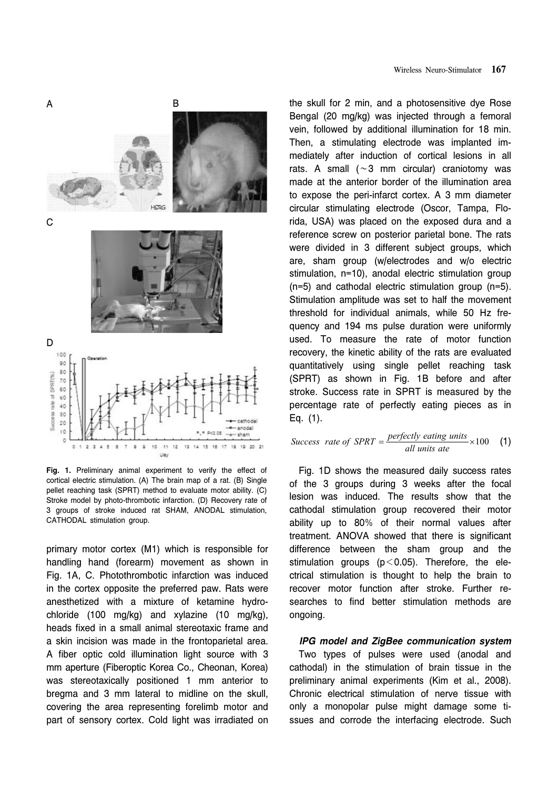

**Fig. 1.** Preliminary animal experiment to verify the effect of cortical electric stimulation. (A) The brain map of a rat. (B) Single pellet reaching task (SPRT) method to evaluate motor ability. (C) Stroke model by photo-thrombotic infarction. (D) Recovery rate of 3 groups of stroke induced rat SHAM, ANODAL stimulation, CATHODAL stimulation group.

primary motor cortex (M1) which is responsible for handling hand (forearm) movement as shown in Fig. 1A, C. Photothrombotic infarction was induced in the cortex opposite the preferred paw. Rats were anesthetized with a mixture of ketamine hydrochloride (100 mg/kg) and xylazine (10 mg/kg), heads fixed in a small animal stereotaxic frame and a skin incision was made in the frontoparietal area. A fiber optic cold illumination light source with 3 mm aperture (Fiberoptic Korea Co., Cheonan, Korea) was stereotaxically positioned 1 mm anterior to bregma and 3 mm lateral to midline on the skull, covering the area representing forelimb motor and part of sensory cortex. Cold light was irradiated on

the skull for 2 min, and a photosensitive dye Rose Bengal (20 mg/kg) was injected through a femoral vein, followed by additional illumination for 18 min. Then, a stimulating electrode was implanted immediately after induction of cortical lesions in all rats. A small (∼3 mm circular) craniotomy was made at the anterior border of the illumination area to expose the peri-infarct cortex. A 3 mm diameter circular stimulating electrode (Oscor, Tampa, Florida, USA) was placed on the exposed dura and a reference screw on posterior parietal bone. The rats were divided in 3 different subject groups, which are, sham group (w/electrodes and w/o electric stimulation, n=10), anodal electric stimulation group (n=5) and cathodal electric stimulation group (n=5). Stimulation amplitude was set to half the movement threshold for individual animals, while 50 Hz frequency and 194 ms pulse duration were uniformly used. To measure the rate of motor function recovery, the kinetic ability of the rats are evaluated quantitatively using single pellet reaching task (SPRT) as shown in Fig. 1B before and after stroke. Success rate in SPRT is measured by the percentage rate of perfectly eating pieces as in Eq. (1).

$$
Success\ rate\ of\ SPRT = \frac{perfectly\ eating\ units}{all\ units\ ate} \times 100\tag{1}
$$

 Fig. 1D shows the measured daily success rates of the 3 groups during 3 weeks after the focal lesion was induced. The results show that the cathodal stimulation group recovered their motor ability up to 80% of their normal values after treatment. ANOVA showed that there is significant difference between the sham group and the stimulation groups ( $p < 0.05$ ). Therefore, the electrical stimulation is thought to help the brain to recover motor function after stroke. Further researches to find better stimulation methods are ongoing.

*IPG model and ZigBee communication system* Two types of pulses were used (anodal and cathodal) in the stimulation of brain tissue in the preliminary animal experiments (Kim et al., 2008). Chronic electrical stimulation of nerve tissue with only a monopolar pulse might damage some tissues and corrode the interfacing electrode. Such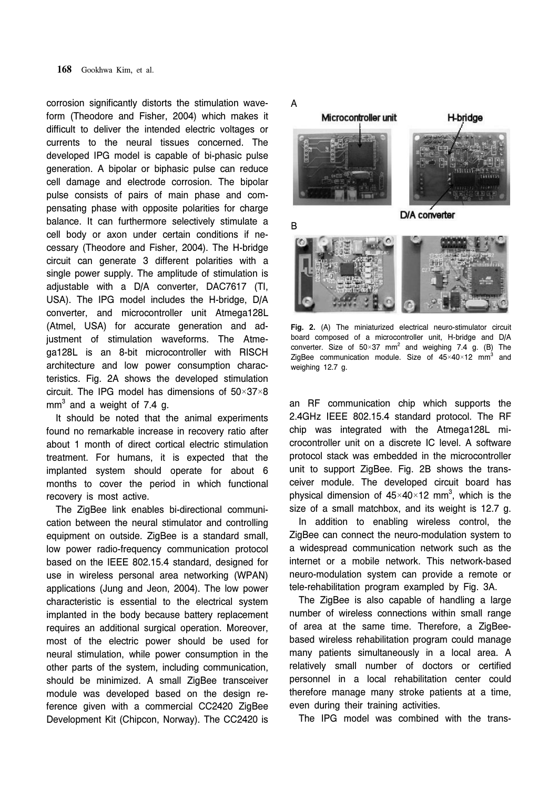corrosion significantly distorts the stimulation waveform (Theodore and Fisher, 2004) which makes it difficult to deliver the intended electric voltages or currents to the neural tissues concerned. The developed IPG model is capable of bi-phasic pulse generation. A bipolar or biphasic pulse can reduce cell damage and electrode corrosion. The bipolar pulse consists of pairs of main phase and compensating phase with opposite polarities for charge balance. It can furthermore selectively stimulate a cell body or axon under certain conditions if necessary (Theodore and Fisher, 2004). The H-bridge circuit can generate 3 different polarities with a single power supply. The amplitude of stimulation is adjustable with a D/A converter, DAC7617 (TI, USA). The IPG model includes the H-bridge, D/A converter, and microcontroller unit Atmega128L (Atmel, USA) for accurate generation and adjustment of stimulation waveforms. The Atmega128L is an 8-bit microcontroller with RISCH architecture and low power consumption characteristics. Fig. 2A shows the developed stimulation circuit. The IPG model has dimensions of 50×37×8 mm $^3$  and a weight of 7.4 g.

 It should be noted that the animal experiments found no remarkable increase in recovery ratio after about 1 month of direct cortical electric stimulation treatment. For humans, it is expected that the implanted system should operate for about 6 months to cover the period in which functional recovery is most active.

 The ZigBee link enables bi-directional communication between the neural stimulator and controlling equipment on outside. ZigBee is a standard small, low power radio-frequency communication protocol based on the IEEE 802.15.4 standard, designed for use in wireless personal area networking (WPAN) applications (Jung and Jeon, 2004). The low power characteristic is essential to the electrical system implanted in the body because battery replacement requires an additional surgical operation. Moreover, most of the electric power should be used for neural stimulation, while power consumption in the other parts of the system, including communication, should be minimized. A small ZigBee transceiver module was developed based on the design reference given with a commercial CC2420 ZigBee Development Kit (Chipcon, Norway). The CC2420 is



**Fig. 2.** (A) The miniaturized electrical neuro-stimulator circuit board composed of a microcontroller unit, H-bridge and D/A converter. Size of 50 $\times$ 37 mm<sup>2</sup> and weighing 7.4 g. (B) The ZigBee communication module. Size of  $45\times40\times12$  mm<sup>3</sup> and weighing 12.7 g.

an RF communication chip which supports the 2.4GHz IEEE 802.15.4 standard protocol. The RF chip was integrated with the Atmega128L microcontroller unit on a discrete IC level. A software protocol stack was embedded in the microcontroller unit to support ZigBee. Fig. 2B shows the transceiver module. The developed circuit board has physical dimension of  $45 \times 40 \times 12$  mm<sup>3</sup>, which is the size of a small matchbox, and its weight is 12.7 g.

 In addition to enabling wireless control, the ZigBee can connect the neuro-modulation system to a widespread communication network such as the internet or a mobile network. This network-based neuro-modulation system can provide a remote or tele-rehabilitation program exampled by Fig. 3A.

The ZigBee is also capable of handling a large number of wireless connections within small range of area at the same time. Therefore, a ZigBeebased wireless rehabilitation program could manage many patients simultaneously in a local area. A relatively small number of doctors or certified personnel in a local rehabilitation center could therefore manage many stroke patients at a time, even during their training activities.

The IPG model was combined with the trans-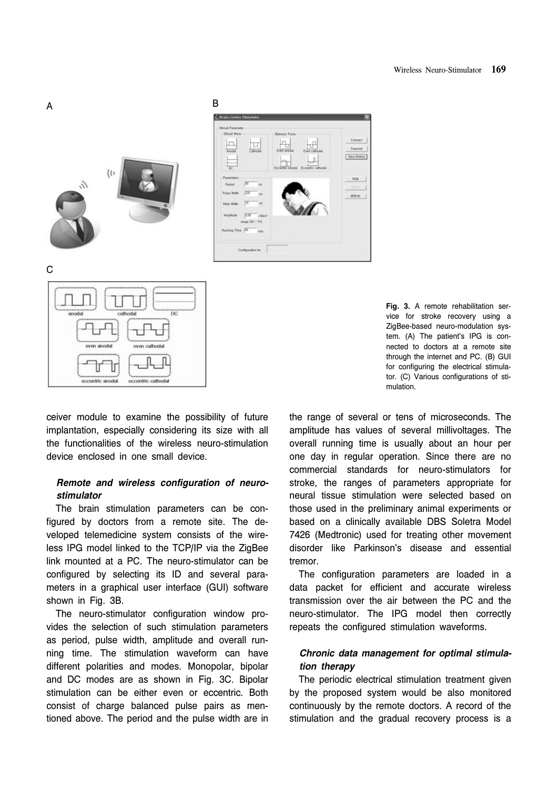





ceiver module to examine the possibility of future implantation, especially considering its size with all the functionalities of the wireless neuro-stimulation device enclosed in one small device.

# *Remote and wireless configuration of neurostimulator*

 The brain stimulation parameters can be configured by doctors from a remote site. The developed telemedicine system consists of the wireless IPG model linked to the TCP/IP via the ZigBee link mounted at a PC. The neuro-stimulator can be configured by selecting its ID and several parameters in a graphical user interface (GUI) software shown in Fig. 3B.

The neuro-stimulator configuration window provides the selection of such stimulation parameters as period, pulse width, amplitude and overall running time. The stimulation waveform can have different polarities and modes. Monopolar, bipolar and DC modes are as shown in Fig. 3C. Bipolar stimulation can be either even or eccentric. Both consist of charge balanced pulse pairs as mentioned above. The period and the pulse width are in

**Fig. 3.** A remote rehabilitation service for stroke recovery using a ZigBee-based neuro-modulation system. (A) The patient's IPG is connected to doctors at a remote site through the internet and PC. (B) GUI for configuring the electrical stimulator. (C) Various configurations of stimulation.

the range of several or tens of microseconds. The amplitude has values of several millivoltages. The overall running time is usually about an hour per one day in regular operation. Since there are no commercial standards for neuro-stimulators for stroke, the ranges of parameters appropriate for neural tissue stimulation were selected based on those used in the preliminary animal experiments or based on a clinically available DBS Soletra Model 7426 (Medtronic) used for treating other movement disorder like Parkinson's disease and essential tremor.

 The configuration parameters are loaded in a data packet for efficient and accurate wireless transmission over the air between the PC and the neuro-stimulator. The IPG model then correctly repeats the configured stimulation waveforms.

#### *Chronic data management for optimal stimulation therapy*

 The periodic electrical stimulation treatment given by the proposed system would be also monitored continuously by the remote doctors. A record of the stimulation and the gradual recovery process is a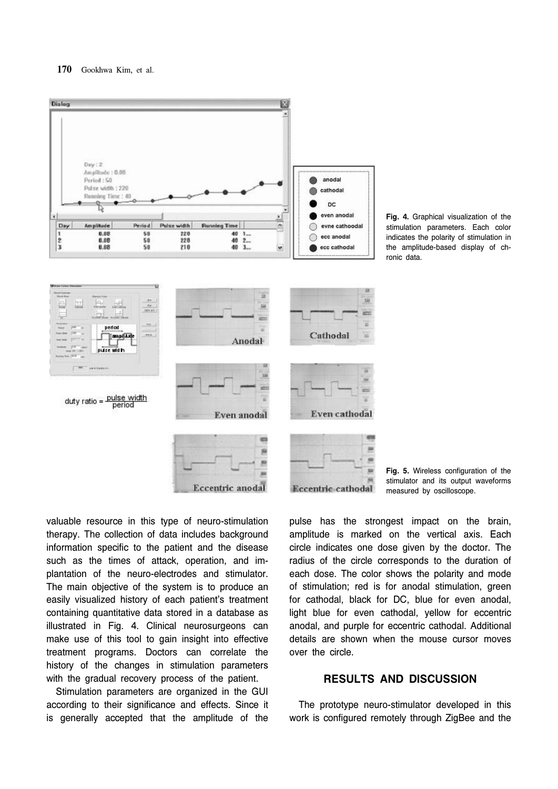

**Fig. 4.** Graphical visualization of the stimulation parameters. Each color indicates the polarity of stimulation in the amplitude-based display of chronic data.

**Fig. 5.** Wireless configuration of the stimulator and its output waveforms measured by oscilloscope.

valuable resource in this type of neuro-stimulation therapy. The collection of data includes background information specific to the patient and the disease such as the times of attack, operation, and implantation of the neuro-electrodes and stimulator. The main objective of the system is to produce an easily visualized history of each patient's treatment containing quantitative data stored in a database as illustrated in Fig. 4. Clinical neurosurgeons can make use of this tool to gain insight into effective treatment programs. Doctors can correlate the history of the changes in stimulation parameters with the gradual recovery process of the patient.

 Stimulation parameters are organized in the GUI according to their significance and effects. Since it is generally accepted that the amplitude of the pulse has the strongest impact on the brain, amplitude is marked on the vertical axis. Each circle indicates one dose given by the doctor. The radius of the circle corresponds to the duration of each dose. The color shows the polarity and mode of stimulation; red is for anodal stimulation, green for cathodal, black for DC, blue for even anodal, light blue for even cathodal, yellow for eccentric anodal, and purple for eccentric cathodal. Additional details are shown when the mouse cursor moves over the circle.

## **RESULTS AND DISCUSSION**

 The prototype neuro-stimulator developed in this work is configured remotely through ZigBee and the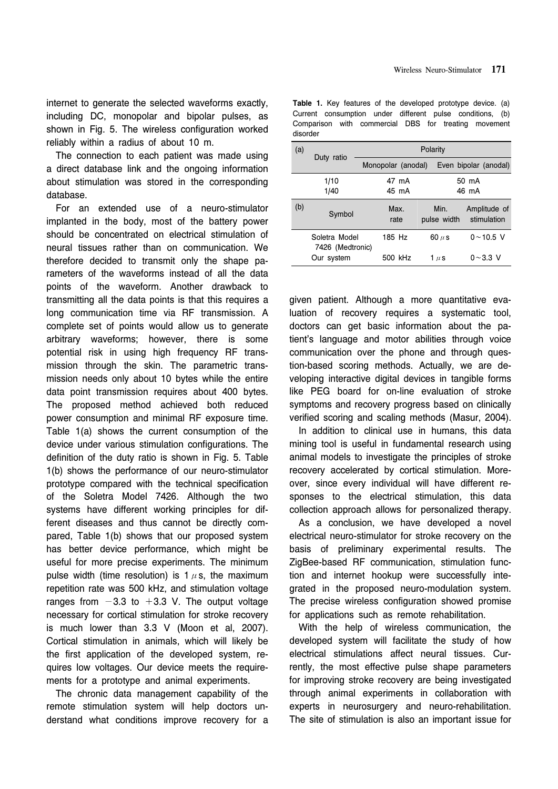internet to generate the selected waveforms exactly, including DC, monopolar and bipolar pulses, as shown in Fig. 5. The wireless configuration worked reliably within a radius of about 10 m.

 The connection to each patient was made using a direct database link and the ongoing information about stimulation was stored in the corresponding database.

 For an extended use of a neuro-stimulator implanted in the body, most of the battery power should be concentrated on electrical stimulation of neural tissues rather than on communication. We therefore decided to transmit only the shape parameters of the waveforms instead of all the data points of the waveform. Another drawback to transmitting all the data points is that this requires a long communication time via RF transmission. A complete set of points would allow us to generate arbitrary waveforms; however, there is some potential risk in using high frequency RF transmission through the skin. The parametric transmission needs only about 10 bytes while the entire data point transmission requires about 400 bytes. The proposed method achieved both reduced power consumption and minimal RF exposure time. Table 1(a) shows the current consumption of the device under various stimulation configurations. The definition of the duty ratio is shown in Fig. 5. Table 1(b) shows the performance of our neuro-stimulator prototype compared with the technical specification of the Soletra Model 7426. Although the two systems have different working principles for different diseases and thus cannot be directly compared, Table 1(b) shows that our proposed system has better device performance, which might be useful for more precise experiments. The minimum pulse width (time resolution) is 1  $\mu$  s, the maximum repetition rate was 500 kHz, and stimulation voltage ranges from  $-3.3$  to  $+3.3$  V. The output voltage necessary for cortical stimulation for stroke recovery is much lower than 3.3 V (Moon et al, 2007). Cortical stimulation in animals, which will likely be the first application of the developed system, requires low voltages. Our device meets the requirements for a prototype and animal experiments.

 The chronic data management capability of the remote stimulation system will help doctors understand what conditions improve recovery for a

|          |  | <b>Table 1.</b> Key features of the developed prototype device. (a) |  |  |  |
|----------|--|---------------------------------------------------------------------|--|--|--|
|          |  | Current consumption under different pulse conditions, (b)           |  |  |  |
| disorder |  | Comparison with commercial DBS for treating movement                |  |  |  |

| (a) |                                                 | Polarity           |                         |                                   |  |  |  |
|-----|-------------------------------------------------|--------------------|-------------------------|-----------------------------------|--|--|--|
|     | Duty ratio                                      | Monopolar (anodal) |                         | Even bipolar (anodal)             |  |  |  |
|     | 1/10                                            | 47 mA              | 50 mA                   |                                   |  |  |  |
|     | 1/40                                            | 45 mA              | 46 mA                   |                                   |  |  |  |
| (b) | Symbol                                          | Max.<br>rate       | Min.<br>pulse width     | Amplitude of<br>stimulation       |  |  |  |
|     | Soletra Model<br>7426 (Medtronic)<br>Our system | 185 Hz<br>500 kHz  | 60 $\mu$ s<br>1 $\mu$ s | $0 \sim 10.5$ V<br>$0 \sim 3.3$ V |  |  |  |

given patient. Although a more quantitative evaluation of recovery requires a systematic tool, doctors can get basic information about the patient's language and motor abilities through voice communication over the phone and through question-based scoring methods. Actually, we are developing interactive digital devices in tangible forms like PEG board for on-line evaluation of stroke symptoms and recovery progress based on clinically verified scoring and scaling methods (Masur, 2004).

 In addition to clinical use in humans, this data mining tool is useful in fundamental research using animal models to investigate the principles of stroke recovery accelerated by cortical stimulation. Moreover, since every individual will have different responses to the electrical stimulation, this data collection approach allows for personalized therapy.

 As a conclusion, we have developed a novel electrical neuro-stimulator for stroke recovery on the basis of preliminary experimental results. The ZigBee-based RF communication, stimulation function and internet hookup were successfully integrated in the proposed neuro-modulation system. The precise wireless configuration showed promise for applications such as remote rehabilitation.

 With the help of wireless communication, the developed system will facilitate the study of how electrical stimulations affect neural tissues. Currently, the most effective pulse shape parameters for improving stroke recovery are being investigated through animal experiments in collaboration with experts in neurosurgery and neuro-rehabilitation. The site of stimulation is also an important issue for